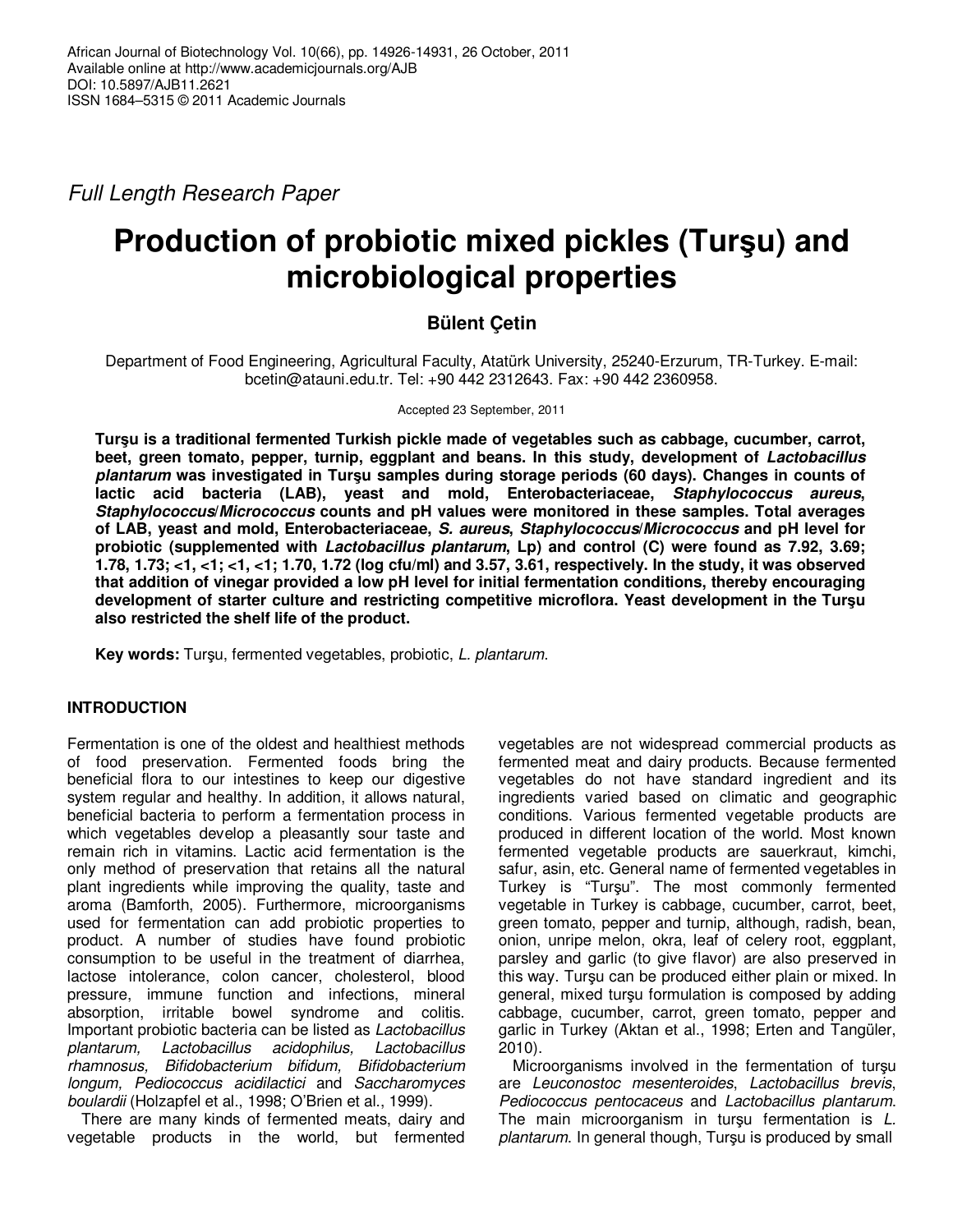Full Length Research Paper

# **Production of probiotic mixed pickles (Turşu) and microbiological properties**

# **Bülent Çetin**

Department of Food Engineering, Agricultural Faculty, Atatürk University, 25240-Erzurum, TR-Turkey. E-mail: bcetin@atauni.edu.tr. Tel: +90 442 2312643. Fax: +90 442 2360958.

# Accepted 23 September, 2011

**Turşu is a traditional fermented Turkish pickle made of vegetables such as cabbage, cucumber, carrot, beet, green tomato, pepper, turnip, eggplant and beans. In this study, development of Lactobacillus plantarum was investigated in Turşu samples during storage periods (60 days). Changes in counts of lactic acid bacteria (LAB), yeast and mold, Enterobacteriaceae, Staphylococcus aureus, Staphylococcus/Micrococcus counts and pH values were monitored in these samples. Total averages of LAB, yeast and mold, Enterobacteriaceae, S. aureus, Staphylococcus/Micrococcus and pH level for probiotic (supplemented with Lactobacillus plantarum, Lp) and control (C) were found as 7.92, 3.69; 1.78, 1.73; <1, <1; <1, <1; 1.70, 1.72 (log cfu/ml) and 3.57, 3.61, respectively. In the study, it was observed that addition of vinegar provided a low pH level for initial fermentation conditions, thereby encouraging development of starter culture and restricting competitive microflora. Yeast development in the Turşu also restricted the shelf life of the product.** 

**Key words:** Turşu, fermented vegetables, probiotic, L. plantarum.

# **INTRODUCTION**

Fermentation is one of the oldest and healthiest methods of food preservation. Fermented foods bring the beneficial flora to our intestines to keep our digestive system regular and healthy. In addition, it allows natural, beneficial bacteria to perform a fermentation process in which vegetables develop a pleasantly sour taste and remain rich in vitamins. Lactic acid fermentation is the only method of preservation that retains all the natural plant ingredients while improving the quality, taste and aroma (Bamforth, 2005). Furthermore, microorganisms used for fermentation can add probiotic properties to product. A number of studies have found probiotic consumption to be useful in the treatment of diarrhea, lactose intolerance, colon cancer, cholesterol, blood pressure, immune function and infections, mineral absorption, irritable bowel syndrome and colitis. Important probiotic bacteria can be listed as Lactobacillus plantarum, Lactobacillus acidophilus, Lactobacillus rhamnosus, Bifidobacterium bifidum, Bifidobacterium longum, Pediococcus acidilactici and Saccharomyces boulardii (Holzapfel et al., 1998; O'Brien et al., 1999).

There are many kinds of fermented meats, dairy and vegetable products in the world, but fermented

vegetables are not widespread commercial products as fermented meat and dairy products. Because fermented vegetables do not have standard ingredient and its ingredients varied based on climatic and geographic conditions. Various fermented vegetable products are produced in different location of the world. Most known fermented vegetable products are sauerkraut, kimchi, safur, asin, etc. General name of fermented vegetables in Turkey is "Turşu". The most commonly fermented vegetable in Turkey is cabbage, cucumber, carrot, beet, green tomato, pepper and turnip, although, radish, bean, onion, unripe melon, okra, leaf of celery root, eggplant, parsley and garlic (to give flavor) are also preserved in this way. Turşu can be produced either plain or mixed. In general, mixed turşu formulation is composed by adding cabbage, cucumber, carrot, green tomato, pepper and garlic in Turkey (Aktan et al., 1998; Erten and Tangüler, 2010).

Microorganisms involved in the fermentation of turşu are Leuconostoc mesenteroides, Lactobacillus brevis, Pediococcus pentocaceus and Lactobacillus plantarum. The main microorganism in turșu fermentation is L. plantarum. In general though, Turşu is produced by small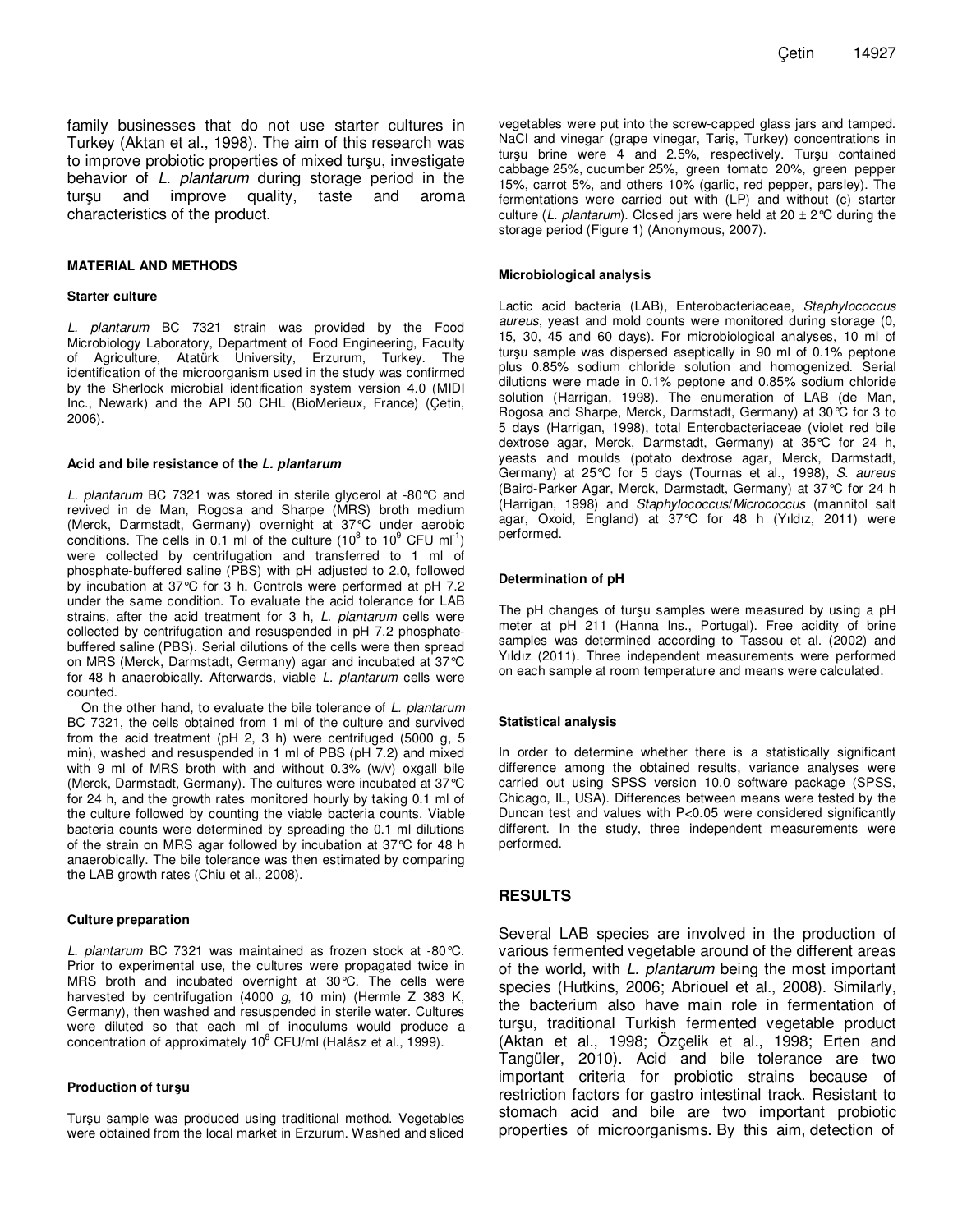family businesses that do not use starter cultures in Turkey (Aktan et al., 1998). The aim of this research was to improve probiotic properties of mixed turşu, investigate behavior of L. plantarum during storage period in the turşu and improve quality, taste and aroma characteristics of the product.

#### **MATERIAL AND METHODS**

#### **Starter culture**

L. plantarum BC 7321 strain was provided by the Food Microbiology Laboratory, Department of Food Engineering, Faculty of Agriculture, Atatürk University, Erzurum, Turkey. The identification of the microorganism used in the study was confirmed by the Sherlock microbial identification system version 4.0 (MIDI Inc., Newark) and the API 50 CHL (BioMerieux, France) (Çetin, 2006).

#### **Acid and bile resistance of the L. plantarum**

L. plantarum BC 7321 was stored in sterile glycerol at -80°C and revived in de Man, Rogosa and Sharpe (MRS) broth medium (Merck, Darmstadt, Germany) overnight at 37°C under aerobic conditions. The cells in 0.1 ml of the culture (10 $8$  to 10 $9$  CFU ml<sup>-1</sup>) were collected by centrifugation and transferred to 1 ml of phosphate-buffered saline (PBS) with pH adjusted to 2.0, followed by incubation at 37°C for 3 h. Controls were performed at pH 7.2 under the same condition. To evaluate the acid tolerance for LAB strains, after the acid treatment for 3 h, L. plantarum cells were collected by centrifugation and resuspended in pH 7.2 phosphatebuffered saline (PBS). Serial dilutions of the cells were then spread on MRS (Merck, Darmstadt, Germany) agar and incubated at 37°C for 48 h anaerobically. Afterwards, viable L. plantarum cells were counted.

On the other hand, to evaluate the bile tolerance of L. plantarum BC 7321, the cells obtained from 1 ml of the culture and survived from the acid treatment (pH 2, 3 h) were centrifuged (5000 g, 5 min), washed and resuspended in 1 ml of PBS (pH 7.2) and mixed with 9 ml of MRS broth with and without 0.3% (w/v) oxgall bile (Merck, Darmstadt, Germany). The cultures were incubated at 37°C for 24 h, and the growth rates monitored hourly by taking 0.1 ml of the culture followed by counting the viable bacteria counts. Viable bacteria counts were determined by spreading the 0.1 ml dilutions of the strain on MRS agar followed by incubation at 37°C for 48 h anaerobically. The bile tolerance was then estimated by comparing the LAB growth rates (Chiu et al., 2008).

#### **Culture preparation**

L. plantarum BC 7321 was maintained as frozen stock at -80°C. Prior to experimental use, the cultures were propagated twice in MRS broth and incubated overnight at 30°C. The cells were harvested by centrifugation (4000  $g$ , 10 min) (Hermle Z 383 K, Germany), then washed and resuspended in sterile water. Cultures were diluted so that each ml of inoculums would produce a concentration of approximately 10 $8$  CFU/ml (Halász et al., 1999).

#### **Production of turşu**

Turşu sample was produced using traditional method. Vegetables were obtained from the local market in Erzurum. Washed and sliced

vegetables were put into the screw-capped glass jars and tamped. NaCl and vinegar (grape vinegar, Tariş, Turkey) concentrations in turşu brine were 4 and 2.5%, respectively. Turşu contained cabbage 25%, cucumber 25%, green tomato 20%, green pepper 15%, carrot 5%, and others 10% (garlic, red pepper, parsley). The fermentations were carried out with (LP) and without (c) starter culture (L. plantarum). Closed jars were held at 20  $\pm$  2°C during the storage period (Figure 1) (Anonymous, 2007).

#### **Microbiological analysis**

Lactic acid bacteria (LAB), Enterobacteriaceae, Staphylococcus aureus, yeast and mold counts were monitored during storage (0, 15, 30, 45 and 60 days). For microbiological analyses, 10 ml of turşu sample was dispersed aseptically in 90 ml of 0.1% peptone plus 0.85% sodium chloride solution and homogenized. Serial dilutions were made in 0.1% peptone and 0.85% sodium chloride solution (Harrigan, 1998). The enumeration of LAB (de Man, Rogosa and Sharpe, Merck, Darmstadt, Germany) at 30°C for 3 to 5 days (Harrigan, 1998), total Enterobacteriaceae (violet red bile dextrose agar, Merck, Darmstadt, Germany) at 35°C for 24 h, yeasts and moulds (potato dextrose agar, Merck, Darmstadt, Germany) at 25°C for 5 days (Tournas et al., 1998), S. aureus (Baird-Parker Agar, Merck, Darmstadt, Germany) at 37°C for 24 h (Harrigan, 1998) and Staphylococcus/Micrococcus (mannitol salt agar, Oxoid, England) at 37°C for 48 h (Yıldız, 2011) were performed.

#### **Determination of pH**

The pH changes of turşu samples were measured by using a pH meter at pH 211 (Hanna Ins., Portugal). Free acidity of brine samples was determined according to Tassou et al. (2002) and Yıldız (2011). Three independent measurements were performed on each sample at room temperature and means were calculated.

#### **Statistical analysis**

In order to determine whether there is a statistically significant difference among the obtained results, variance analyses were carried out using SPSS version 10.0 software package (SPSS, Chicago, IL, USA). Differences between means were tested by the Duncan test and values with P<0.05 were considered significantly different. In the study, three independent measurements were performed.

# **RESULTS**

Several LAB species are involved in the production of various fermented vegetable around of the different areas of the world, with L. plantarum being the most important species (Hutkins, 2006; Abriouel et al., 2008). Similarly, the bacterium also have main role in fermentation of turşu, traditional Turkish fermented vegetable product (Aktan et al., 1998; Özçelik et al., 1998; Erten and Tangüler, 2010). Acid and bile tolerance are two important criteria for probiotic strains because of restriction factors for gastro intestinal track. Resistant to stomach acid and bile are two important probiotic properties of microorganisms. By this aim, detection of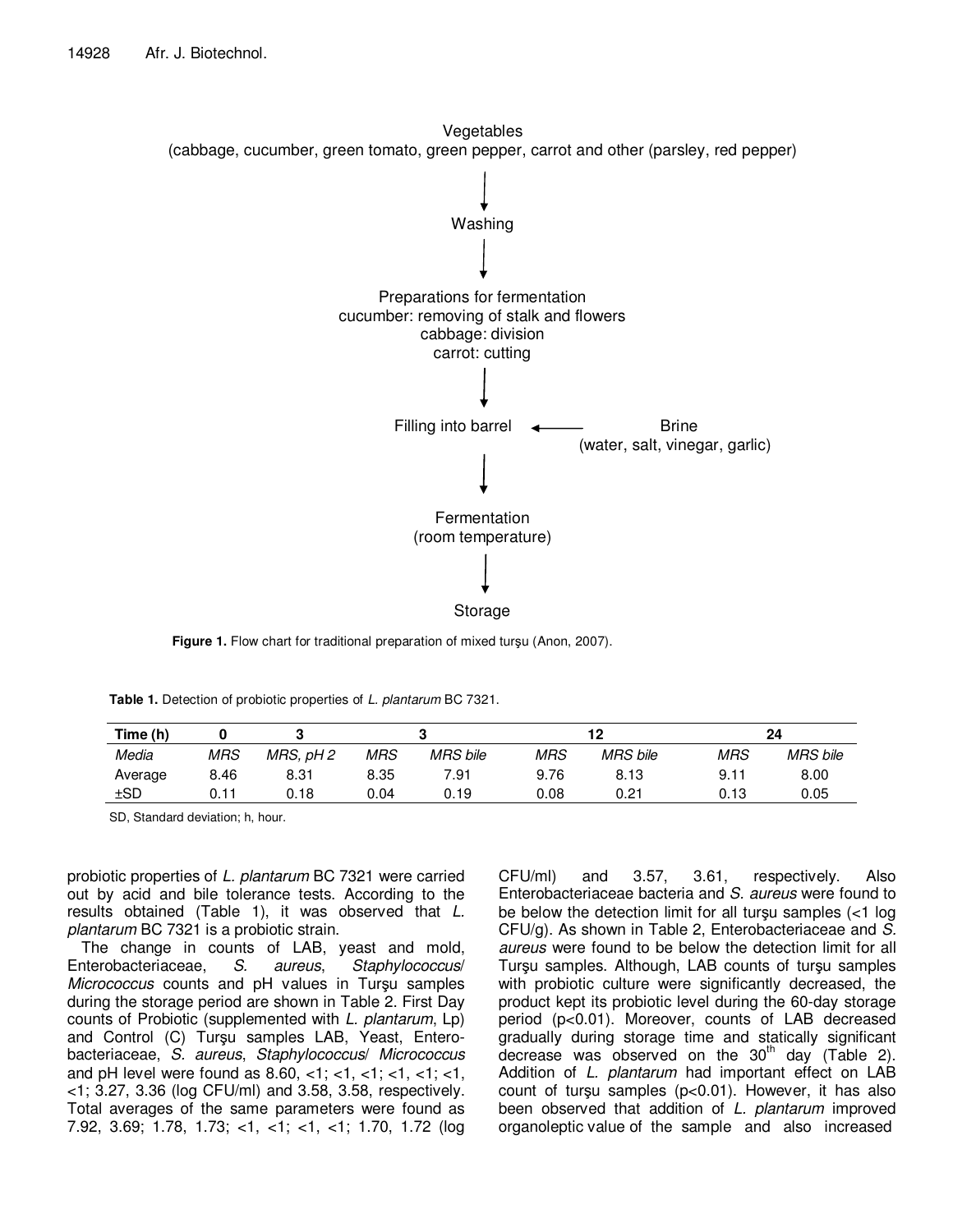

**Figure 1.** Flow chart for traditional preparation of mixed turşu (Anon, 2007).

| Table 1. Detection of probiotic properties of L. plantarum BC 7321. |  |  |  |
|---------------------------------------------------------------------|--|--|--|
|---------------------------------------------------------------------|--|--|--|

| Time (h) |            |           |            |                 |            | 12              | 24         |                 |  |
|----------|------------|-----------|------------|-----------------|------------|-----------------|------------|-----------------|--|
| Media    | <b>MRS</b> | MRS, pH 2 | <b>MRS</b> | <b>MRS</b> bile | <b>MRS</b> | <b>MRS</b> bile | <b>MRS</b> | <b>MRS</b> bile |  |
| Average  | 8.46       | 8.31      | 8.35       | 7.91            | 9.76       | 8.13            | 9.11       | 8.00            |  |
| ±SD      | 0.11       | 0.18      | 0.04       | Ა.19            | 0.08       | 0.21            | 0.13       | 0.05            |  |

SD, Standard deviation; h, hour.

probiotic properties of L. plantarum BC 7321 were carried out by acid and bile tolerance tests. According to the results obtained (Table 1), it was observed that L. plantarum BC 7321 is a probiotic strain.

The change in counts of LAB, yeast and mold, Enterobacteriaceae, S. aureus, Staphylococcus/ Micrococcus counts and pH values in Turşu samples during the storage period are shown in Table 2. First Day counts of Probiotic (supplemented with L. plantarum, Lp) and Control (C) Turşu samples LAB, Yeast, Enterobacteriaceae, S. aureus, Staphylococcus/ Micrococcus and pH level were found as 8.60, <1; <1, <1; <1, <1; <1; <1, <1; 3.27, 3.36 (log CFU/ml) and 3.58, 3.58, respectively. Total averages of the same parameters were found as 7.92, 3.69; 1.78, 1.73; <1, <1; <1, <1; 1.70, 1.72 (log

CFU/ml) and 3.57, 3.61, respectively. Also Enterobacteriaceae bacteria and S. aureus were found to be below the detection limit for all turşu samples (<1 log CFU/g). As shown in Table 2, Enterobacteriaceae and S. aureus were found to be below the detection limit for all Turşu samples. Although, LAB counts of turşu samples with probiotic culture were significantly decreased, the product kept its probiotic level during the 60-day storage period (p<0.01). Moreover, counts of LAB decreased gradually during storage time and statically significant decrease was observed on the  $30<sup>th</sup>$  day (Table 2). Addition of L. plantarum had important effect on LAB count of turşu samples (p<0.01). However, it has also been observed that addition of L. plantarum improved organoleptic value of the sample and also increased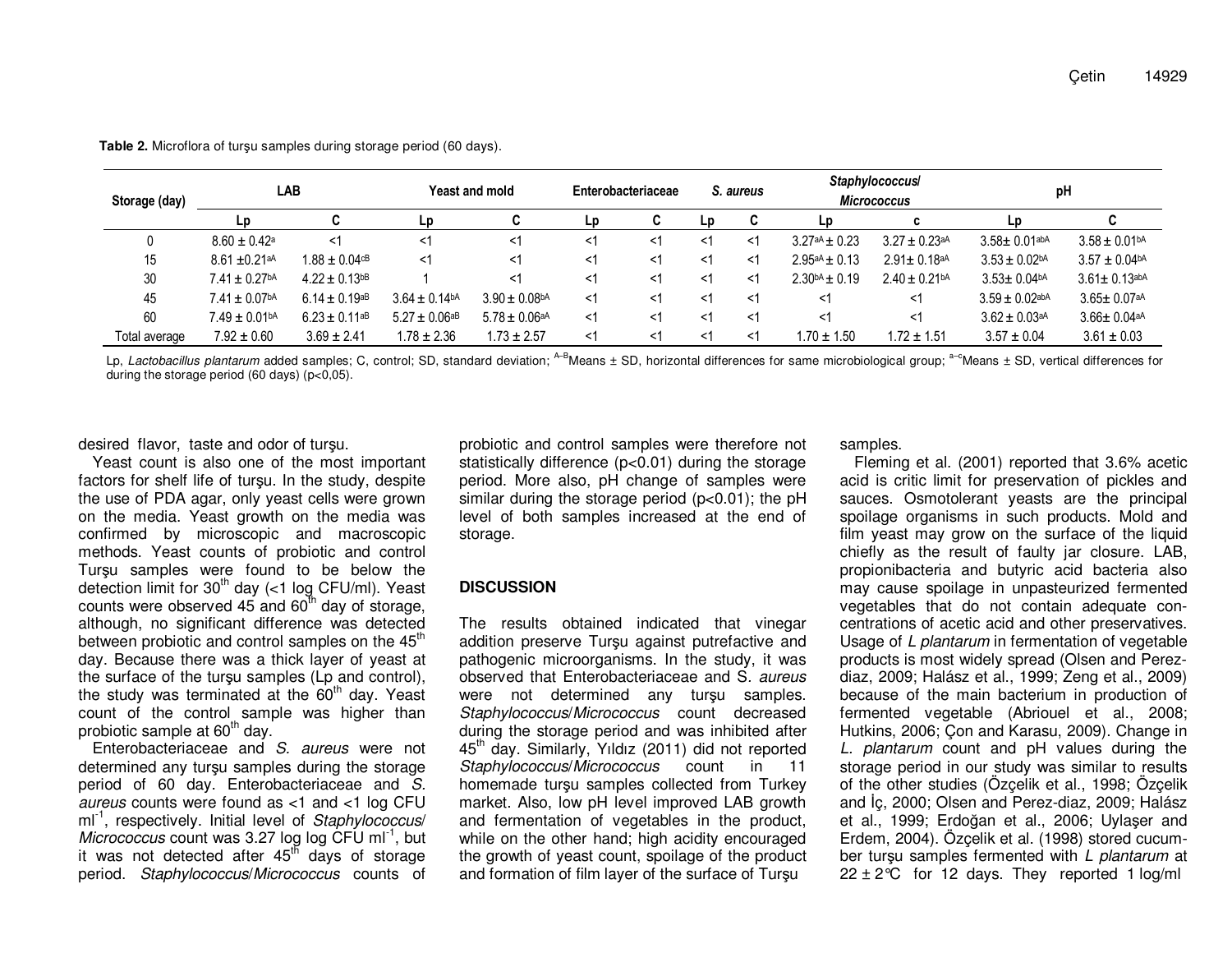| Storage (day) | LAB                           |                               | <b>Yeast and mold</b>         |                               | Enterobacteriaceae |    | S. aureus |    | <b>Staphylococcus/</b><br>Micrococcus |                               | рH                            |                      |
|---------------|-------------------------------|-------------------------------|-------------------------------|-------------------------------|--------------------|----|-----------|----|---------------------------------------|-------------------------------|-------------------------------|----------------------|
|               | LD                            | u                             | LD.                           |                               | LD.                |    | LD        |    | Lɒ                                    |                               | Lɒ                            |                      |
|               | $8.60 \pm 0.42$ <sup>a</sup>  | <1                            | $\lt'$                        | <1                            | 51                 | <1 |           | <1 | $3.27^{aA} \pm 0.23$                  | $3.27 \pm 0.23$ <sup>aA</sup> | $3.58 \pm 0.01$ abA           | $3.58 \pm 0.01^{bA}$ |
| 15            | $8.61 \pm 0.21$ aA            | $1.88 \pm 0.04$ <sup>cB</sup> | $\lt'$                        | ≺1                            | <1                 | <1 | ≺1        | <1 | $2.95aA + 0.13$                       | $2.91 \pm 0.18$ aA            | $3.53 \pm 0.02$ <sup>bA</sup> | $3.57 \pm 0.04$ bA   |
| 30            | $7.41 \pm 0.27$ bA            | $4.22 \pm 0.13^{b}$           |                               | <1                            | <1                 | <1 |           | ≺1 | $2.30^{bA} \pm 0.19$                  | $2.40 \pm 0.21$ bA            | $3.53 \pm 0.04$ bA            | $3.61 \pm 0.13$ abA  |
| 45            | $7.41 \pm 0.07$ <sup>bA</sup> | $6.14 \pm 0.19$ <sup>aB</sup> | $3.64 \pm 0.14$ <sup>bA</sup> | $3.90 \pm 0.08$ <sup>bA</sup> | <1                 | <1 | ≺1        | ≺1 |                                       | <1                            | $3.59 \pm 0.02$ abA           | $3.65 \pm 0.07$ aA   |
| 60            | $7.49 \pm 0.01$ <sup>bA</sup> | $6.23 \pm 0.11$ <sup>aB</sup> | $5.27 \pm 0.06$ aB            | $5.78 \pm 0.06$ aA            | <1                 | <1 | ≺1        | ≺1 |                                       | <1                            | $3.62 \pm 0.03$ <sup>aA</sup> | $3.66 \pm 0.04$ aA   |
| Total average | $7.92 \pm 0.60$               | $3.69 \pm 2.41$               | $1.78 \pm 2.36$               | $1.73 \pm 2.57$               | <1                 | <1 | ≺1        | ≺1 | $1.70 \pm 1.50$                       | $1.72 \pm 1.51$               | $3.57 \pm 0.04$               | $3.61 \pm 0.03$      |

**Table 2.** Microflora of turşu samples during storage period (60 days).

Lp, *Lactobacillus plantarum* added samples; C, control; SD, standard deviation; <sup>A–B</sup>Means ± SD, horizontal differences for same microbiological group; <sup>a–c</sup>Means ± SD, vertical differences for during the storage period (60 days) (p<0,05).

desired flavor, taste and odor of turşu.

Yeast count is also one of the most important factors for shelf life of turşu. In the study, despite the use of PDA agar, only yeast cells were grown on the media. Yeast growth on the media was confirmed by microscopic and macroscopic methods. Yeast counts of probiotic and control Turşu samples were found to be below the detection limit for  $30<sup>th</sup>$  day (<1 log CFU/ml). Yeast counts were observed 45 and 60 $^{\text{th}}$  day of storage, although, no significant difference was detected between probiotic and control samples on the 45<sup>th</sup> day. Because there was a thick layer of yeast at the surface of the turşu samples (Lp and control), the study was terminated at the  $60<sup>th</sup>$  day. Yeast count of the control sample was higher than probiotic sample at 60<sup>th</sup> day.

Enterobacteriaceae and S. aureus were not determined any turşu samples during the storage period of 60 day. Enterobacteriaceae and S. aureus counts were found as <1 and <1 log CFU ml<sup>-1</sup>, respectively. Initial level of Staphylococcus/ Micrococcus count was 3.27 log log CFU ml<sup>-1</sup>, but it was not detected after 45<sup>th</sup> days of storage period. Staphylococcus/Micrococcus counts of

probiotic and control samples were therefore not statistically difference (p<0.01) during the storage period. More also, pH change of samples were similar during the storage period (p<0.01); the pH level of both samples increased at the end of storage.

### **DISCUSSION**

The results obtained indicated that vinegar addition preserve Turşu against putrefactive and pathogenic microorganisms. In the study, it was observed that Enterobacteriaceae and S. *aureus*  were not determined any turşu samples. Staphylococcus/Micrococcus count decreased during the storage period and was inhibited after 45<sup>th</sup> day. Similarly, Yıldız (2011) did not reported Staphylococcus/Micrococcus count in 11 homemade turşu samples collected from Turkey market. Also, low pH level improved LAB growth and fermentation of vegetables in the product, while on the other hand; high acidity encouraged the growth of yeast count, spoilage of the product and formation of film layer of the surface of Turşu

samples.

 Fleming et al. (2001) reported that 3.6% acetic acid is critic limit for preservation of pickles and sauces. Osmotolerant yeasts are the principal spoilage organisms in such products. Mold and film yeast may grow on the surface of the liquid chiefly as the result of faulty jar closure. LAB, propionibacteria and butyric acid bacteria also may cause spoilage in unpasteurized fermented vegetables that do not contain adequate concentrations of acetic acid and other preservatives. Usage of L plantarum in fermentation of vegetable products is most widely spread (Olsen and Perezdiaz, 2009; Halász et al., 1999; Zeng et al., 2009) because of the main bacterium in production of fermented vegetable (Abriouel et al., 2008; Hutkins, 2006; Çon and Karasu, 2009). Change in L. plantarum count and pH values during the storage period in our study was similar to results of the other studies (Özçelik et al., 1998; Özçelik and İç, 2000; Olsen and Perez-diaz, 2009; Halász et al., 1999; Erdoğan et al., 2006; Uylaşer and Erdem, 2004). Özçelik et al. (1998) stored cucumber turşu samples fermented with L plantarum at  $22 \pm 2^{\circ}$ C for 12 days. They reported 1 log/ml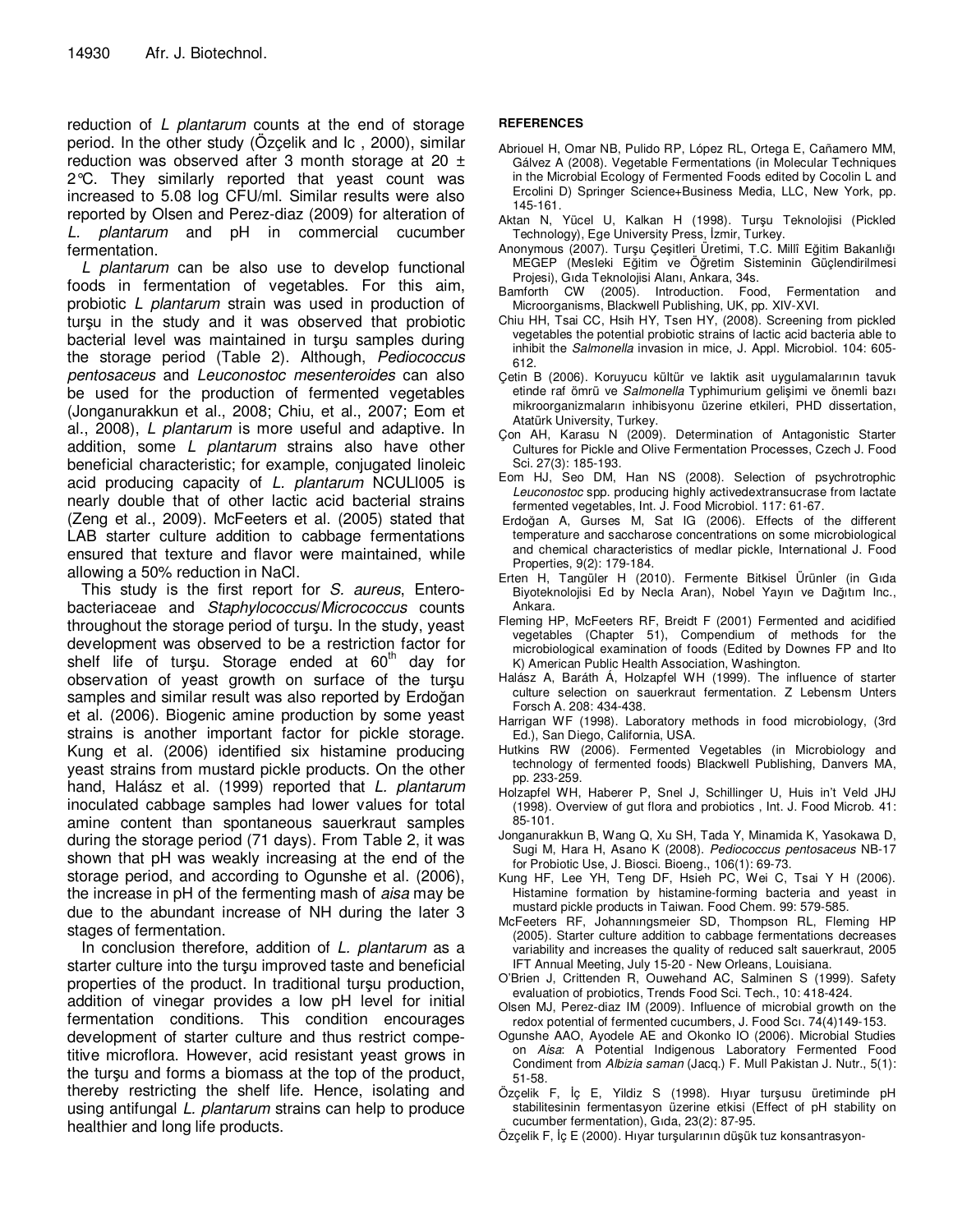reduction of L plantarum counts at the end of storage period. In the other study (Özçelik and Ic , 2000), similar reduction was observed after 3 month storage at 20  $\pm$ 2°C. They similarly reported that yeast count was increased to 5.08 log CFU/ml. Similar results were also reported by Olsen and Perez-diaz (2009) for alteration of L. plantarum and pH in commercial cucumber fermentation.

L plantarum can be also use to develop functional foods in fermentation of vegetables. For this aim, probiotic L plantarum strain was used in production of turşu in the study and it was observed that probiotic bacterial level was maintained in turşu samples during the storage period (Table 2). Although, Pediococcus pentosaceus and Leuconostoc mesenteroides can also be used for the production of fermented vegetables (Jonganurakkun et al., 2008; Chiu, et al., 2007; Eom et al., 2008), L plantarum is more useful and adaptive. In addition, some L plantarum strains also have other beneficial characteristic; for example, conjugated linoleic acid producing capacity of L. plantarum NCULI005 is nearly double that of other lactic acid bacterial strains (Zeng et al., 2009). McFeeters et al. (2005) stated that LAB starter culture addition to cabbage fermentations ensured that texture and flavor were maintained, while allowing a 50% reduction in NaCl.

This study is the first report for S. aureus, Enterobacteriaceae and Staphylococcus/Micrococcus counts throughout the storage period of turşu. In the study, yeast development was observed to be a restriction factor for shelf life of tursu. Storage ended at  $60<sup>th</sup>$  day for observation of yeast growth on surface of the turşu samples and similar result was also reported by Erdoğan et al. (2006). Biogenic amine production by some yeast strains is another important factor for pickle storage. Kung et al. (2006) identified six histamine producing yeast strains from mustard pickle products. On the other hand, Halász et al. (1999) reported that L. plantarum inoculated cabbage samples had lower values for total amine content than spontaneous sauerkraut samples during the storage period (71 days). From Table 2, it was shown that pH was weakly increasing at the end of the storage period, and according to Ogunshe et al. (2006), the increase in pH of the fermenting mash of *aisa* may be due to the abundant increase of NH during the later 3 stages of fermentation.

In conclusion therefore, addition of L. plantarum as a starter culture into the turşu improved taste and beneficial properties of the product. In traditional turşu production, addition of vinegar provides a low pH level for initial fermentation conditions. This condition encourages development of starter culture and thus restrict competitive microflora. However, acid resistant yeast grows in the turşu and forms a biomass at the top of the product, thereby restricting the shelf life. Hence, isolating and using antifungal L. plantarum strains can help to produce healthier and long life products.

# **REFERENCES**

- Abriouel H, Omar NB, Pulido RP, López RL, Ortega E, Cañamero MM, Gálvez A (2008). Vegetable Fermentations (in Molecular Techniques in the Microbial Ecology of Fermented Foods edited by Cocolin L and Ercolini D) Springer Science+Business Media, LLC, New York, pp. 145-161.
- Aktan N, Yücel U, Kalkan H (1998). Turşu Teknolojisi (Pickled Technology), Ege University Press, İzmir, Turkey.
- Anonymous (2007). Turşu Çeşitleri Üretimi, T.C. Millî Eğitim Bakanlığı MEGEP (Mesleki Eğitim ve Öğretim Sisteminin Güçlendirilmesi Projesi), Gıda Teknolojisi Alanı, Ankara, 34s.
- Bamforth CW (2005). Introduction. Food, Fermentation and Microorganisms, Blackwell Publishing, UK, pp. XIV-XVI.
- Chiu HH, Tsai CC, Hsih HY, Tsen HY, (2008). Screening from pickled vegetables the potential probiotic strains of lactic acid bacteria able to inhibit the Salmonella invasion in mice, J. Appl. Microbiol. 104: 605- 612.
- Çetin B (2006). Koruyucu kültür ve laktik asit uygulamalarının tavuk etinde raf ömrü ve Salmonella Typhimurium gelişimi ve önemli bazı mikroorganizmaların inhibisyonu üzerine etkileri, PHD dissertation, Atatürk University, Turkey.
- Çon AH, Karasu N (2009). Determination of Antagonistic Starter Cultures for Pickle and Olive Fermentation Processes, Czech J. Food Sci. 27(3): 185-193.
- Eom HJ, Seo DM, Han NS (2008). Selection of psychrotrophic Leuconostoc spp. producing highly activedextransucrase from lactate fermented vegetables, Int. J. Food Microbiol. 117: 61-67.
- Erdoğan A, Gurses M, Sat IG (2006). Effects of the different temperature and saccharose concentrations on some microbiological and chemical characteristics of medlar pickle, International J. Food Properties, 9(2): 179-184.
- Erten H, Tangüler H (2010). Fermente Bitkisel Ürünler (in Gıda Biyoteknolojisi Ed by Necla Aran), Nobel Yayın ve Dağıtım Inc., Ankara.
- Fleming HP, McFeeters RF, Breidt F (2001) Fermented and acidified vegetables (Chapter 51), Compendium of methods for the microbiological examination of foods (Edited by Downes FP and Ito K) American Public Health Association, Washington.
- Halász A, Baráth Á, Holzapfel WH (1999). The influence of starter culture selection on sauerkraut fermentation. Z Lebensm Unters Forsch A. 208: 434-438.
- Harrigan WF (1998). Laboratory methods in food microbiology, (3rd Ed.), San Diego, California, USA.
- Hutkins RW (2006). Fermented Vegetables (in Microbiology and technology of fermented foods) Blackwell Publishing, Danvers MA, pp. 233-259.
- Holzapfel WH, Haberer P, Snel J, Schillinger U, Huis in't Veld JHJ (1998). Overview of gut flora and probiotics , Int. J. Food Microb. 41: 85-101.
- Jonganurakkun B, Wang Q, Xu SH, Tada Y, Minamida K, Yasokawa D, Sugi M, Hara H, Asano K (2008). Pediococcus pentosaceus NB-17 for Probiotic Use, J. Biosci. Bioeng., 106(1): 69-73.
- Kung HF, Lee YH, Teng DF, Hsieh PC, Wei C, Tsai Y H (2006). Histamine formation by histamine-forming bacteria and yeast in mustard pickle products in Taiwan. Food Chem. 99: 579-585.
- McFeeters RF, Johannıngsmeier SD, Thompson RL, Fleming HP (2005). Starter culture addition to cabbage fermentations decreases variability and increases the quality of reduced salt sauerkraut, 2005 IFT Annual Meeting, July 15-20 - New Orleans, Louisiana.
- O'Brien J, Crittenden R, Ouwehand AC, Salminen S (1999). Safety evaluation of probiotics, Trends Food Sci. Tech., 10: 418-424.
- Olsen MJ, Perez-diaz IM (2009). Influence of microbial growth on the redox potential of fermented cucumbers, J. Food Scı. 74(4)149-153.
- Ogunshe AAO, Ayodele AE and Okonko IO (2006). Microbial Studies on Aisa: A Potential Indigenous Laboratory Fermented Food Condiment from Albizia saman (Jacq.) F. Mull Pakistan J. Nutr., 5(1): 51-58.
- Özçelik F, İç E, Yildiz S (1998). Hıyar turşusu üretiminde pH stabilitesinin fermentasyon üzerine etkisi (Effect of pH stability on cucumber fermentation), Gıda, 23(2): 87-95.
- Özçelik F, İç E (2000). Hıyar turşularının düşük tuz konsantrasyon-